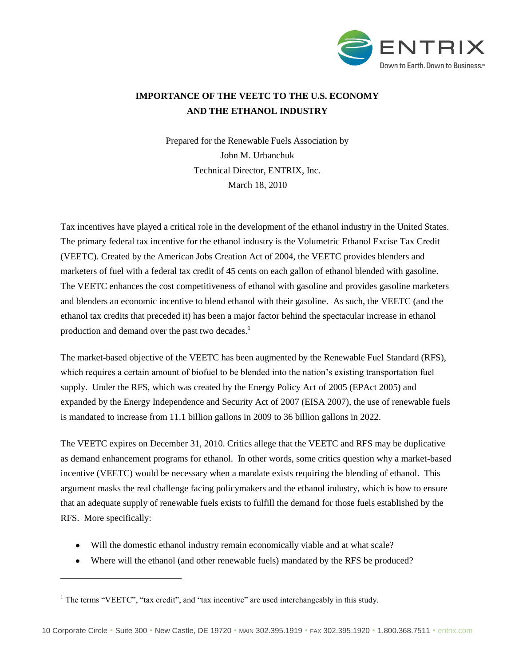

# **IMPORTANCE OF THE VEETC TO THE U.S. ECONOMY AND THE ETHANOL INDUSTRY**

Prepared for the Renewable Fuels Association by John M. Urbanchuk Technical Director, ENTRIX, Inc. March 18, 2010

Tax incentives have played a critical role in the development of the ethanol industry in the United States. The primary federal tax incentive for the ethanol industry is the Volumetric Ethanol Excise Tax Credit (VEETC). Created by the American Jobs Creation Act of 2004, the VEETC provides blenders and marketers of fuel with a federal tax credit of 45 cents on each gallon of ethanol blended with gasoline. The VEETC enhances the cost competitiveness of ethanol with gasoline and provides gasoline marketers and blenders an economic incentive to blend ethanol with their gasoline. As such, the VEETC (and the ethanol tax credits that preceded it) has been a major factor behind the spectacular increase in ethanol production and demand over the past two decades.<sup>1</sup>

The market-based objective of the VEETC has been augmented by the Renewable Fuel Standard (RFS), which requires a certain amount of biofuel to be blended into the nation"s existing transportation fuel supply. Under the RFS, which was created by the Energy Policy Act of 2005 (EPAct 2005) and expanded by the Energy Independence and Security Act of 2007 (EISA 2007), the use of renewable fuels is mandated to increase from 11.1 billion gallons in 2009 to 36 billion gallons in 2022.

The VEETC expires on December 31, 2010. Critics allege that the VEETC and RFS may be duplicative as demand enhancement programs for ethanol. In other words, some critics question why a market-based incentive (VEETC) would be necessary when a mandate exists requiring the blending of ethanol. This argument masks the real challenge facing policymakers and the ethanol industry, which is how to ensure that an adequate supply of renewable fuels exists to fulfill the demand for those fuels established by the RFS. More specifically:

- Will the domestic ethanol industry remain economically viable and at what scale?
- Where will the ethanol (and other renewable fuels) mandated by the RFS be produced?

 $\overline{a}$ 

 $<sup>1</sup>$  The terms "VEETC", "tax credit", and "tax incentive" are used interchangeably in this study.</sup>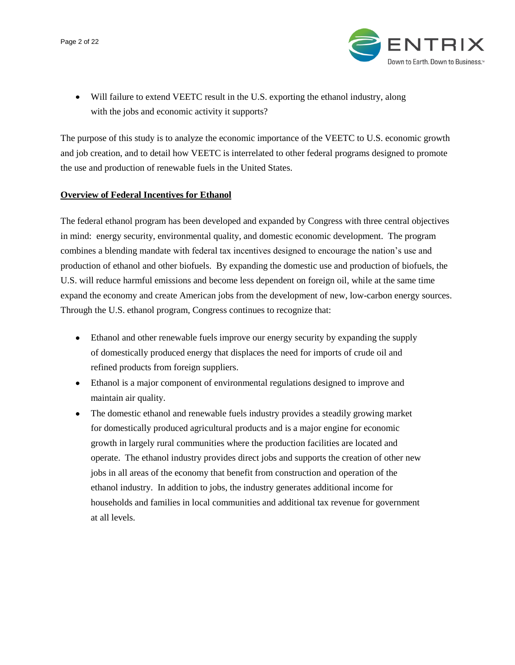Page 2 of 22



Will failure to extend VEETC result in the U.S. exporting the ethanol industry, along with the jobs and economic activity it supports?

The purpose of this study is to analyze the economic importance of the VEETC to U.S. economic growth and job creation, and to detail how VEETC is interrelated to other federal programs designed to promote the use and production of renewable fuels in the United States.

# **Overview of Federal Incentives for Ethanol**

The federal ethanol program has been developed and expanded by Congress with three central objectives in mind: energy security, environmental quality, and domestic economic development. The program combines a blending mandate with federal tax incentives designed to encourage the nation"s use and production of ethanol and other biofuels. By expanding the domestic use and production of biofuels, the U.S. will reduce harmful emissions and become less dependent on foreign oil, while at the same time expand the economy and create American jobs from the development of new, low-carbon energy sources. Through the U.S. ethanol program, Congress continues to recognize that:

- Ethanol and other renewable fuels improve our energy security by expanding the supply of domestically produced energy that displaces the need for imports of crude oil and refined products from foreign suppliers.
- Ethanol is a major component of environmental regulations designed to improve and maintain air quality.
- The domestic ethanol and renewable fuels industry provides a steadily growing market  $\bullet$ for domestically produced agricultural products and is a major engine for economic growth in largely rural communities where the production facilities are located and operate. The ethanol industry provides direct jobs and supports the creation of other new jobs in all areas of the economy that benefit from construction and operation of the ethanol industry. In addition to jobs, the industry generates additional income for households and families in local communities and additional tax revenue for government at all levels.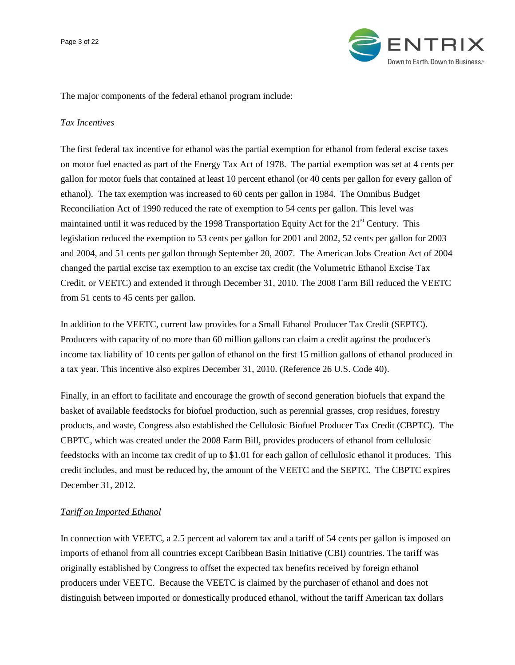

The major components of the federal ethanol program include:

#### *Tax Incentives*

The first federal tax incentive for ethanol was the partial exemption for ethanol from federal excise taxes on motor fuel enacted as part of the Energy Tax Act of 1978. The partial exemption was set at 4 cents per gallon for motor fuels that contained at least 10 percent ethanol (or 40 cents per gallon for every gallon of ethanol). The tax exemption was increased to 60 cents per gallon in 1984. The Omnibus Budget Reconciliation Act of 1990 reduced the rate of exemption to 54 cents per gallon. This level was maintained until it was reduced by the 1998 Transportation Equity Act for the  $21<sup>st</sup>$  Century. This legislation reduced the exemption to 53 cents per gallon for 2001 and 2002, 52 cents per gallon for 2003 and 2004, and 51 cents per gallon through September 20, 2007. The American Jobs Creation Act of 2004 changed the partial excise tax exemption to an excise tax credit (the Volumetric Ethanol Excise Tax Credit, or VEETC) and extended it through December 31, 2010. The 2008 Farm Bill reduced the VEETC from 51 cents to 45 cents per gallon.

In addition to the VEETC, current law provides for a Small Ethanol Producer Tax Credit (SEPTC). Producers with capacity of no more than 60 million gallons can claim a credit against the producer's income tax liability of 10 cents per gallon of ethanol on the first 15 million gallons of ethanol produced in a tax year. This incentive also expires December 31, 2010. (Reference 26 U.S. Code 40).

Finally, in an effort to facilitate and encourage the growth of second generation biofuels that expand the basket of available feedstocks for biofuel production, such as perennial grasses, crop residues, forestry products, and waste, Congress also established the Cellulosic Biofuel Producer Tax Credit (CBPTC). The CBPTC, which was created under the 2008 Farm Bill, provides producers of ethanol from cellulosic feedstocks with an income tax credit of up to \$1.01 for each gallon of cellulosic ethanol it produces. This credit includes, and must be reduced by, the amount of the VEETC and the SEPTC. The CBPTC expires December 31, 2012.

#### *Tariff on Imported Ethanol*

In connection with VEETC, a 2.5 percent ad valorem tax and a tariff of 54 cents per gallon is imposed on imports of ethanol from all countries except Caribbean Basin Initiative (CBI) countries. The tariff was originally established by Congress to offset the expected tax benefits received by foreign ethanol producers under VEETC. Because the VEETC is claimed by the purchaser of ethanol and does not distinguish between imported or domestically produced ethanol, without the tariff American tax dollars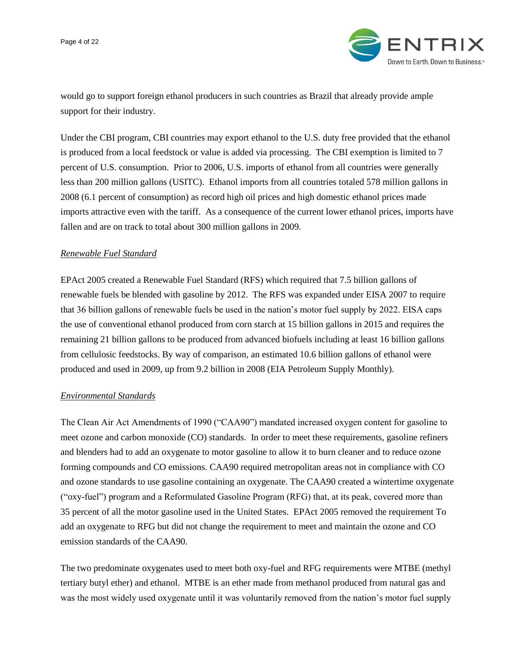

would go to support foreign ethanol producers in such countries as Brazil that already provide ample support for their industry.

Under the CBI program, CBI countries may export ethanol to the U.S. duty free provided that the ethanol is produced from a local feedstock or value is added via processing. The CBI exemption is limited to 7 percent of U.S. consumption. Prior to 2006, U.S. imports of ethanol from all countries were generally less than 200 million gallons (USITC). Ethanol imports from all countries totaled 578 million gallons in 2008 (6.1 percent of consumption) as record high oil prices and high domestic ethanol prices made imports attractive even with the tariff. As a consequence of the current lower ethanol prices, imports have fallen and are on track to total about 300 million gallons in 2009.

## *Renewable Fuel Standard*

EPAct 2005 created a Renewable Fuel Standard (RFS) which required that 7.5 billion gallons of renewable fuels be blended with gasoline by 2012. The RFS was expanded under EISA 2007 to require that 36 billion gallons of renewable fuels be used in the nation"s motor fuel supply by 2022. EISA caps the use of conventional ethanol produced from corn starch at 15 billion gallons in 2015 and requires the remaining 21 billion gallons to be produced from advanced biofuels including at least 16 billion gallons from cellulosic feedstocks. By way of comparison, an estimated 10.6 billion gallons of ethanol were produced and used in 2009, up from 9.2 billion in 2008 (EIA Petroleum Supply Monthly).

#### *Environmental Standards*

The Clean Air Act Amendments of 1990 ("CAA90") mandated increased oxygen content for gasoline to meet ozone and carbon monoxide (CO) standards. In order to meet these requirements, gasoline refiners and blenders had to add an oxygenate to motor gasoline to allow it to burn cleaner and to reduce ozone forming compounds and CO emissions. CAA90 required metropolitan areas not in compliance with CO and ozone standards to use gasoline containing an oxygenate. The CAA90 created a wintertime oxygenate ("oxy-fuel") program and a Reformulated Gasoline Program (RFG) that, at its peak, covered more than 35 percent of all the motor gasoline used in the United States. EPAct 2005 removed the requirement To add an oxygenate to RFG but did not change the requirement to meet and maintain the ozone and CO emission standards of the CAA90.

The two predominate oxygenates used to meet both oxy-fuel and RFG requirements were MTBE (methyl tertiary butyl ether) and ethanol. MTBE is an ether made from methanol produced from natural gas and was the most widely used oxygenate until it was voluntarily removed from the nation's motor fuel supply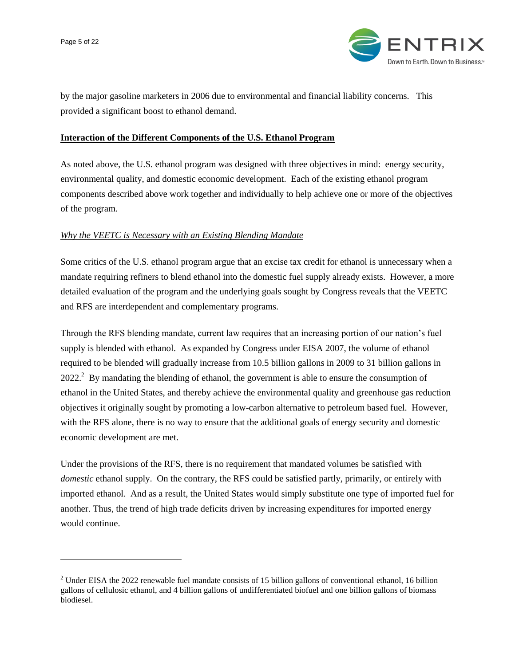$\overline{a}$ 



by the major gasoline marketers in 2006 due to environmental and financial liability concerns. This provided a significant boost to ethanol demand.

## **Interaction of the Different Components of the U.S. Ethanol Program**

As noted above, the U.S. ethanol program was designed with three objectives in mind: energy security, environmental quality, and domestic economic development. Each of the existing ethanol program components described above work together and individually to help achieve one or more of the objectives of the program.

## *Why the VEETC is Necessary with an Existing Blending Mandate*

Some critics of the U.S. ethanol program argue that an excise tax credit for ethanol is unnecessary when a mandate requiring refiners to blend ethanol into the domestic fuel supply already exists. However, a more detailed evaluation of the program and the underlying goals sought by Congress reveals that the VEETC and RFS are interdependent and complementary programs.

Through the RFS blending mandate, current law requires that an increasing portion of our nation"s fuel supply is blended with ethanol. As expanded by Congress under EISA 2007, the volume of ethanol required to be blended will gradually increase from 10.5 billion gallons in 2009 to 31 billion gallons in  $2022<sup>2</sup>$  By mandating the blending of ethanol, the government is able to ensure the consumption of ethanol in the United States, and thereby achieve the environmental quality and greenhouse gas reduction objectives it originally sought by promoting a low-carbon alternative to petroleum based fuel. However, with the RFS alone, there is no way to ensure that the additional goals of energy security and domestic economic development are met.

Under the provisions of the RFS, there is no requirement that mandated volumes be satisfied with *domestic* ethanol supply. On the contrary, the RFS could be satisfied partly, primarily, or entirely with imported ethanol. And as a result, the United States would simply substitute one type of imported fuel for another. Thus, the trend of high trade deficits driven by increasing expenditures for imported energy would continue.

<sup>&</sup>lt;sup>2</sup> Under EISA the 2022 renewable fuel mandate consists of 15 billion gallons of conventional ethanol, 16 billion gallons of cellulosic ethanol, and 4 billion gallons of undifferentiated biofuel and one billion gallons of biomass biodiesel.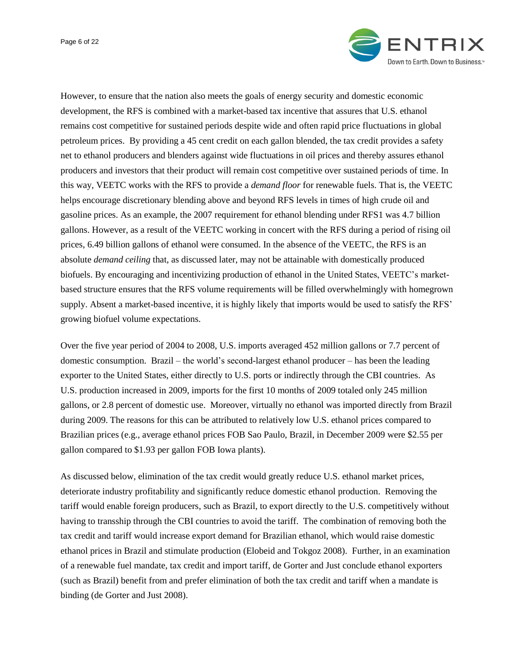Page 6 of 22



However, to ensure that the nation also meets the goals of energy security and domestic economic development, the RFS is combined with a market-based tax incentive that assures that U.S. ethanol remains cost competitive for sustained periods despite wide and often rapid price fluctuations in global petroleum prices. By providing a 45 cent credit on each gallon blended, the tax credit provides a safety net to ethanol producers and blenders against wide fluctuations in oil prices and thereby assures ethanol producers and investors that their product will remain cost competitive over sustained periods of time. In this way, VEETC works with the RFS to provide a *demand floor* for renewable fuels. That is, the VEETC helps encourage discretionary blending above and beyond RFS levels in times of high crude oil and gasoline prices. As an example, the 2007 requirement for ethanol blending under RFS1 was 4.7 billion gallons. However, as a result of the VEETC working in concert with the RFS during a period of rising oil prices, 6.49 billion gallons of ethanol were consumed. In the absence of the VEETC, the RFS is an absolute *demand ceiling* that, as discussed later, may not be attainable with domestically produced biofuels. By encouraging and incentivizing production of ethanol in the United States, VEETC"s marketbased structure ensures that the RFS volume requirements will be filled overwhelmingly with homegrown supply. Absent a market-based incentive, it is highly likely that imports would be used to satisfy the RFS' growing biofuel volume expectations.

Over the five year period of 2004 to 2008, U.S. imports averaged 452 million gallons or 7.7 percent of domestic consumption. Brazil – the world"s second-largest ethanol producer – has been the leading exporter to the United States, either directly to U.S. ports or indirectly through the CBI countries. As U.S. production increased in 2009, imports for the first 10 months of 2009 totaled only 245 million gallons, or 2.8 percent of domestic use. Moreover, virtually no ethanol was imported directly from Brazil during 2009. The reasons for this can be attributed to relatively low U.S. ethanol prices compared to Brazilian prices (e.g., average ethanol prices FOB Sao Paulo, Brazil, in December 2009 were \$2.55 per gallon compared to \$1.93 per gallon FOB Iowa plants).

As discussed below, elimination of the tax credit would greatly reduce U.S. ethanol market prices, deteriorate industry profitability and significantly reduce domestic ethanol production. Removing the tariff would enable foreign producers, such as Brazil, to export directly to the U.S. competitively without having to transship through the CBI countries to avoid the tariff. The combination of removing both the tax credit and tariff would increase export demand for Brazilian ethanol, which would raise domestic ethanol prices in Brazil and stimulate production (Elobeid and Tokgoz 2008). Further, in an examination of a renewable fuel mandate, tax credit and import tariff, de Gorter and Just conclude ethanol exporters (such as Brazil) benefit from and prefer elimination of both the tax credit and tariff when a mandate is binding (de Gorter and Just 2008).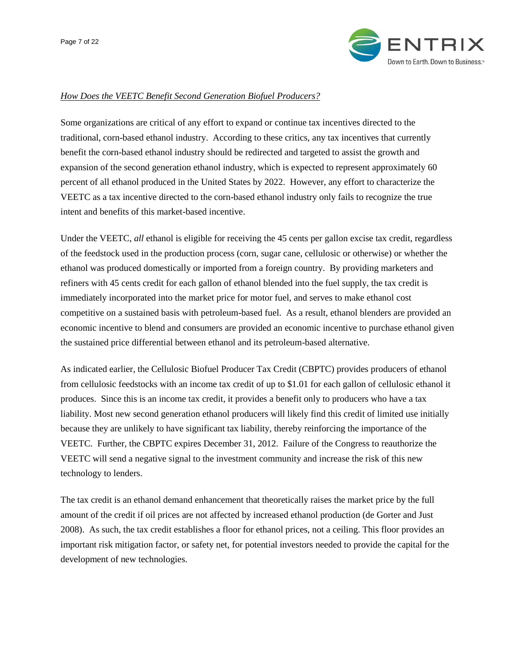

#### *How Does the VEETC Benefit Second Generation Biofuel Producers?*

Some organizations are critical of any effort to expand or continue tax incentives directed to the traditional, corn-based ethanol industry. According to these critics, any tax incentives that currently benefit the corn-based ethanol industry should be redirected and targeted to assist the growth and expansion of the second generation ethanol industry, which is expected to represent approximately 60 percent of all ethanol produced in the United States by 2022. However, any effort to characterize the VEETC as a tax incentive directed to the corn-based ethanol industry only fails to recognize the true intent and benefits of this market-based incentive.

Under the VEETC, *all* ethanol is eligible for receiving the 45 cents per gallon excise tax credit, regardless of the feedstock used in the production process (corn, sugar cane, cellulosic or otherwise) or whether the ethanol was produced domestically or imported from a foreign country. By providing marketers and refiners with 45 cents credit for each gallon of ethanol blended into the fuel supply, the tax credit is immediately incorporated into the market price for motor fuel, and serves to make ethanol cost competitive on a sustained basis with petroleum-based fuel. As a result, ethanol blenders are provided an economic incentive to blend and consumers are provided an economic incentive to purchase ethanol given the sustained price differential between ethanol and its petroleum-based alternative.

As indicated earlier, the Cellulosic Biofuel Producer Tax Credit (CBPTC) provides producers of ethanol from cellulosic feedstocks with an income tax credit of up to \$1.01 for each gallon of cellulosic ethanol it produces. Since this is an income tax credit, it provides a benefit only to producers who have a tax liability. Most new second generation ethanol producers will likely find this credit of limited use initially because they are unlikely to have significant tax liability, thereby reinforcing the importance of the VEETC. Further, the CBPTC expires December 31, 2012. Failure of the Congress to reauthorize the VEETC will send a negative signal to the investment community and increase the risk of this new technology to lenders.

The tax credit is an ethanol demand enhancement that theoretically raises the market price by the full amount of the credit if oil prices are not affected by increased ethanol production (de Gorter and Just 2008). As such, the tax credit establishes a floor for ethanol prices, not a ceiling. This floor provides an important risk mitigation factor, or safety net, for potential investors needed to provide the capital for the development of new technologies.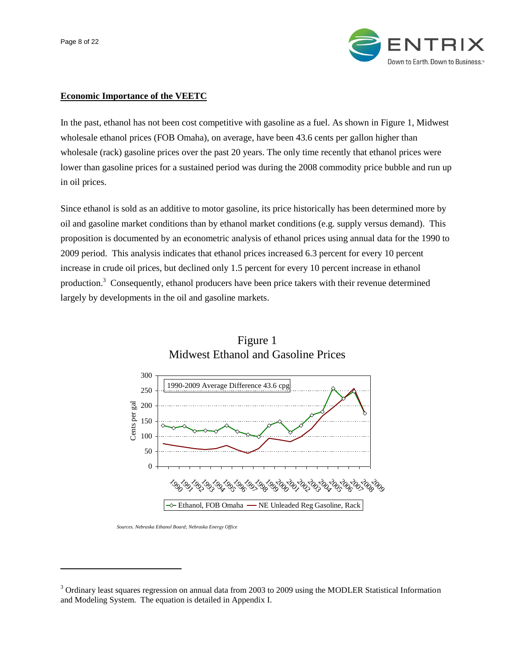Page 8 of 22

 $\overline{a}$ 



# **Economic Importance of the VEETC**

In the past, ethanol has not been cost competitive with gasoline as a fuel. As shown in Figure 1, Midwest wholesale ethanol prices (FOB Omaha), on average, have been 43.6 cents per gallon higher than wholesale (rack) gasoline prices over the past 20 years. The only time recently that ethanol prices were lower than gasoline prices for a sustained period was during the 2008 commodity price bubble and run up in oil prices.

Since ethanol is sold as an additive to motor gasoline, its price historically has been determined more by oil and gasoline market conditions than by ethanol market conditions (e.g. supply versus demand). This proposition is documented by an econometric analysis of ethanol prices using annual data for the 1990 to 2009 period. This analysis indicates that ethanol prices increased 6.3 percent for every 10 percent increase in crude oil prices, but declined only 1.5 percent for every 10 percent increase in ethanol production.<sup>3</sup> Consequently, ethanol producers have been price takers with their revenue determined largely by developments in the oil and gasoline markets.



# Figure 1 Midwest Ethanol and Gasoline Prices

*Sources. Nebraska Ethanol Board; Nebraska Energy Office*

<sup>&</sup>lt;sup>3</sup> Ordinary least squares regression on annual data from 2003 to 2009 using the MODLER Statistical Information and Modeling System. The equation is detailed in Appendix I.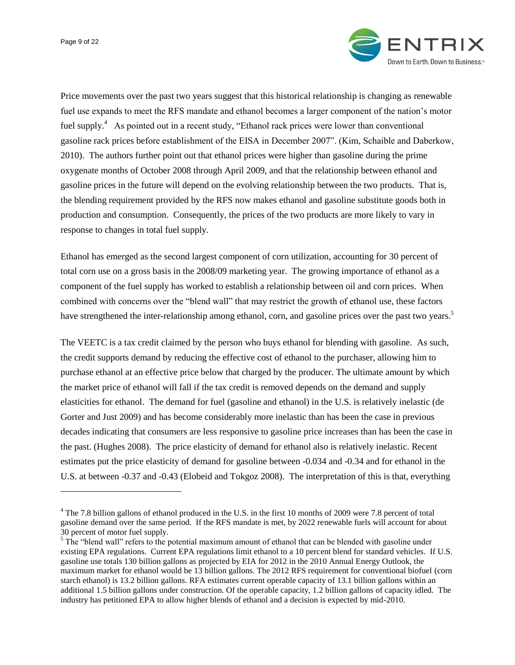Page 9 of 22

 $\overline{a}$ 



Price movements over the past two years suggest that this historical relationship is changing as renewable fuel use expands to meet the RFS mandate and ethanol becomes a larger component of the nation"s motor fuel supply.<sup>4</sup> As pointed out in a recent study, "Ethanol rack prices were lower than conventional gasoline rack prices before establishment of the EISA in December 2007". (Kim, Schaible and Daberkow, 2010). The authors further point out that ethanol prices were higher than gasoline during the prime oxygenate months of October 2008 through April 2009, and that the relationship between ethanol and gasoline prices in the future will depend on the evolving relationship between the two products. That is, the blending requirement provided by the RFS now makes ethanol and gasoline substitute goods both in production and consumption. Consequently, the prices of the two products are more likely to vary in response to changes in total fuel supply.

Ethanol has emerged as the second largest component of corn utilization, accounting for 30 percent of total corn use on a gross basis in the 2008/09 marketing year. The growing importance of ethanol as a component of the fuel supply has worked to establish a relationship between oil and corn prices. When combined with concerns over the "blend wall" that may restrict the growth of ethanol use, these factors have strengthened the inter-relationship among ethanol, corn, and gasoline prices over the past two years.<sup>5</sup>

The VEETC is a tax credit claimed by the person who buys ethanol for blending with gasoline. As such, the credit supports demand by reducing the effective cost of ethanol to the purchaser, allowing him to purchase ethanol at an effective price below that charged by the producer. The ultimate amount by which the market price of ethanol will fall if the tax credit is removed depends on the demand and supply elasticities for ethanol. The demand for fuel (gasoline and ethanol) in the U.S. is relatively inelastic (de Gorter and Just 2009) and has become considerably more inelastic than has been the case in previous decades indicating that consumers are less responsive to gasoline price increases than has been the case in the past. (Hughes 2008). The price elasticity of demand for ethanol also is relatively inelastic. Recent estimates put the price elasticity of demand for gasoline between -0.034 and -0.34 and for ethanol in the U.S. at between -0.37 and -0.43 (Elobeid and Tokgoz 2008). The interpretation of this is that, everything

<sup>&</sup>lt;sup>4</sup> The 7.8 billion gallons of ethanol produced in the U.S. in the first 10 months of 2009 were 7.8 percent of total gasoline demand over the same period. If the RFS mandate is met, by 2022 renewable fuels will account for about 30 percent of motor fuel supply.

 $<sup>5</sup>$  The "blend wall" refers to the potential maximum amount of ethanol that can be blended with gasoline under</sup> existing EPA regulations. Current EPA regulations limit ethanol to a 10 percent blend for standard vehicles. If U.S. gasoline use totals 130 billion gallons as projected by EIA for 2012 in the 2010 Annual Energy Outlook, the maximum market for ethanol would be 13 billion gallons. The 2012 RFS requirement for conventional biofuel (corn starch ethanol) is 13.2 billion gallons. RFA estimates current operable capacity of 13.1 billion gallons within an additional 1.5 billion gallons under construction. Of the operable capacity, 1.2 billion gallons of capacity idled. The industry has petitioned EPA to allow higher blends of ethanol and a decision is expected by mid-2010.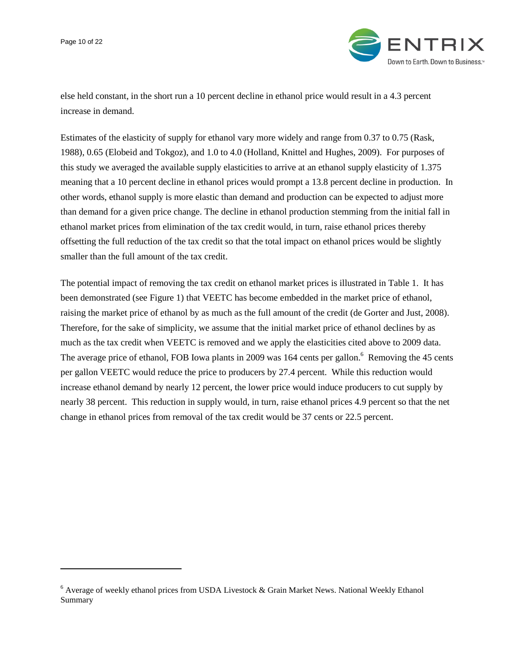Page 10 of 22

 $\overline{a}$ 



else held constant, in the short run a 10 percent decline in ethanol price would result in a 4.3 percent increase in demand.

Estimates of the elasticity of supply for ethanol vary more widely and range from 0.37 to 0.75 (Rask, 1988), 0.65 (Elobeid and Tokgoz), and 1.0 to 4.0 (Holland, Knittel and Hughes, 2009). For purposes of this study we averaged the available supply elasticities to arrive at an ethanol supply elasticity of 1.375 meaning that a 10 percent decline in ethanol prices would prompt a 13.8 percent decline in production. In other words, ethanol supply is more elastic than demand and production can be expected to adjust more than demand for a given price change. The decline in ethanol production stemming from the initial fall in ethanol market prices from elimination of the tax credit would, in turn, raise ethanol prices thereby offsetting the full reduction of the tax credit so that the total impact on ethanol prices would be slightly smaller than the full amount of the tax credit.

The potential impact of removing the tax credit on ethanol market prices is illustrated in Table 1. It has been demonstrated (see Figure 1) that VEETC has become embedded in the market price of ethanol, raising the market price of ethanol by as much as the full amount of the credit (de Gorter and Just, 2008). Therefore, for the sake of simplicity, we assume that the initial market price of ethanol declines by as much as the tax credit when VEETC is removed and we apply the elasticities cited above to 2009 data. The average price of ethanol, FOB Iowa plants in 2009 was 164 cents per gallon.<sup>6</sup> Removing the 45 cents per gallon VEETC would reduce the price to producers by 27.4 percent. While this reduction would increase ethanol demand by nearly 12 percent, the lower price would induce producers to cut supply by nearly 38 percent. This reduction in supply would, in turn, raise ethanol prices 4.9 percent so that the net change in ethanol prices from removal of the tax credit would be 37 cents or 22.5 percent.

 $6$  Average of weekly ethanol prices from USDA Livestock & Grain Market News. National Weekly Ethanol Summary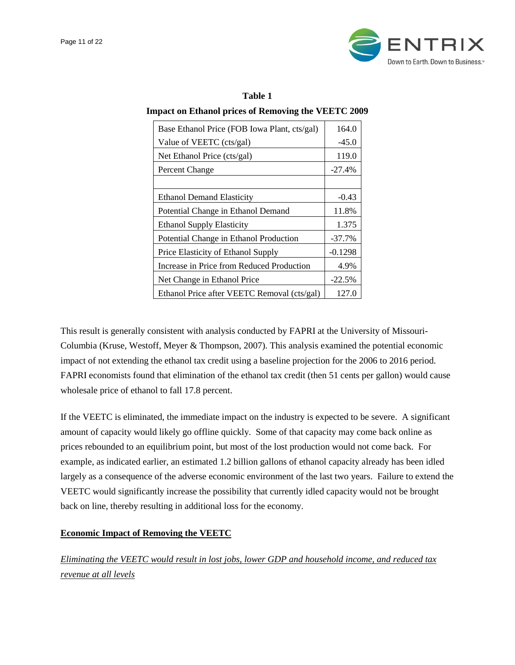| Table 1                                                    |
|------------------------------------------------------------|
| <b>Impact on Ethanol prices of Removing the VEETC 2009</b> |

| Base Ethanol Price (FOB Iowa Plant, cts/gal) | 164.0     |
|----------------------------------------------|-----------|
| Value of VEETC (cts/gal)                     | $-45.0$   |
| Net Ethanol Price (cts/gal)                  | 119.0     |
| Percent Change                               | $-27.4%$  |
|                                              |           |
| <b>Ethanol Demand Elasticity</b>             | $-0.43$   |
| Potential Change in Ethanol Demand           | 11.8%     |
| <b>Ethanol Supply Elasticity</b>             | 1.375     |
| Potential Change in Ethanol Production       | $-37.7%$  |
| Price Elasticity of Ethanol Supply           | $-0.1298$ |
| Increase in Price from Reduced Production    | 4.9%      |
| Net Change in Ethanol Price                  | $-22.5%$  |
| Ethanol Price after VEETC Removal (cts/gal)  | 127.0     |

This result is generally consistent with analysis conducted by FAPRI at the University of Missouri-Columbia (Kruse, Westoff, Meyer & Thompson, 2007). This analysis examined the potential economic impact of not extending the ethanol tax credit using a baseline projection for the 2006 to 2016 period. FAPRI economists found that elimination of the ethanol tax credit (then 51 cents per gallon) would cause wholesale price of ethanol to fall 17.8 percent.

If the VEETC is eliminated, the immediate impact on the industry is expected to be severe. A significant amount of capacity would likely go offline quickly. Some of that capacity may come back online as prices rebounded to an equilibrium point, but most of the lost production would not come back. For example, as indicated earlier, an estimated 1.2 billion gallons of ethanol capacity already has been idled largely as a consequence of the adverse economic environment of the last two years. Failure to extend the VEETC would significantly increase the possibility that currently idled capacity would not be brought back on line, thereby resulting in additional loss for the economy.

# **Economic Impact of Removing the VEETC**

*Eliminating the VEETC would result in lost jobs, lower GDP and household income, and reduced tax revenue at all levels*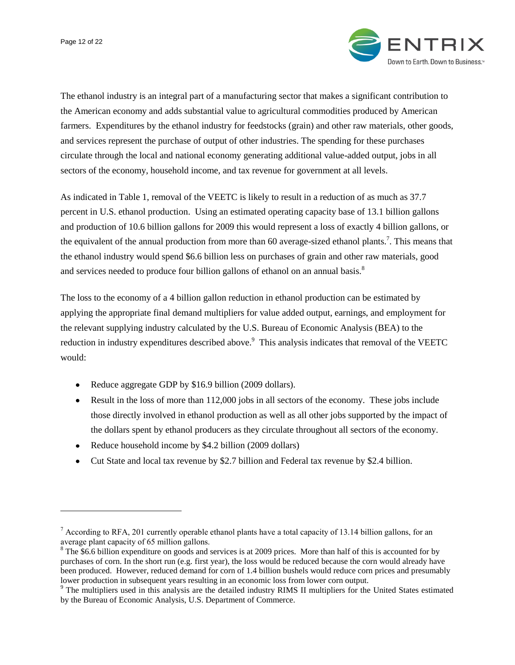$\overline{a}$ 



The ethanol industry is an integral part of a manufacturing sector that makes a significant contribution to the American economy and adds substantial value to agricultural commodities produced by American farmers. Expenditures by the ethanol industry for feedstocks (grain) and other raw materials, other goods, and services represent the purchase of output of other industries. The spending for these purchases circulate through the local and national economy generating additional value-added output, jobs in all sectors of the economy, household income, and tax revenue for government at all levels.

As indicated in Table 1, removal of the VEETC is likely to result in a reduction of as much as 37.7 percent in U.S. ethanol production. Using an estimated operating capacity base of 13.1 billion gallons and production of 10.6 billion gallons for 2009 this would represent a loss of exactly 4 billion gallons, or the equivalent of the annual production from more than 60 average-sized ethanol plants.<sup>7</sup>. This means that the ethanol industry would spend \$6.6 billion less on purchases of grain and other raw materials, good and services needed to produce four billion gallons of ethanol on an annual basis.<sup>8</sup>

The loss to the economy of a 4 billion gallon reduction in ethanol production can be estimated by applying the appropriate final demand multipliers for value added output, earnings, and employment for the relevant supplying industry calculated by the U.S. Bureau of Economic Analysis (BEA) to the reduction in industry expenditures described above.<sup>9</sup> This analysis indicates that removal of the VEETC would:

- Reduce aggregate GDP by \$16.9 billion (2009 dollars).
- Result in the loss of more than 112,000 jobs in all sectors of the economy. These jobs include those directly involved in ethanol production as well as all other jobs supported by the impact of the dollars spent by ethanol producers as they circulate throughout all sectors of the economy.
- Reduce household income by \$4.2 billion (2009 dollars)  $\bullet$
- Cut State and local tax revenue by \$2.7 billion and Federal tax revenue by \$2.4 billion.

<sup>&</sup>lt;sup>7</sup> According to RFA, 201 currently operable ethanol plants have a total capacity of 13.14 billion gallons, for an average plant capacity of 65 million gallons.

<sup>&</sup>lt;sup>8</sup> The \$6.6 billion expenditure on goods and services is at 2009 prices. More than half of this is accounted for by purchases of corn. In the short run (e.g. first year), the loss would be reduced because the corn would already have been produced. However, reduced demand for corn of 1.4 billion bushels would reduce corn prices and presumably lower production in subsequent years resulting in an economic loss from lower corn output.

<sup>&</sup>lt;sup>9</sup> The multipliers used in this analysis are the detailed industry RIMS II multipliers for the United States estimated by the Bureau of Economic Analysis, U.S. Department of Commerce.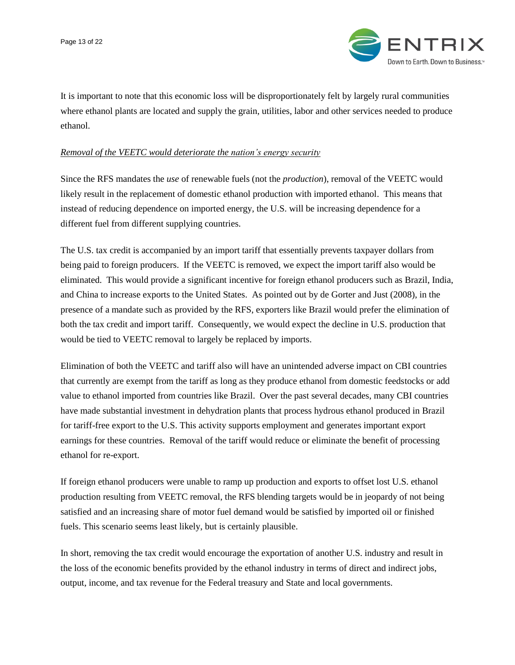

It is important to note that this economic loss will be disproportionately felt by largely rural communities where ethanol plants are located and supply the grain, utilities, labor and other services needed to produce ethanol.

#### *Removal of the VEETC would deteriorate the nation's energy security*

Since the RFS mandates the *use* of renewable fuels (not the *production*), removal of the VEETC would likely result in the replacement of domestic ethanol production with imported ethanol. This means that instead of reducing dependence on imported energy, the U.S. will be increasing dependence for a different fuel from different supplying countries.

The U.S. tax credit is accompanied by an import tariff that essentially prevents taxpayer dollars from being paid to foreign producers. If the VEETC is removed, we expect the import tariff also would be eliminated. This would provide a significant incentive for foreign ethanol producers such as Brazil, India, and China to increase exports to the United States. As pointed out by de Gorter and Just (2008), in the presence of a mandate such as provided by the RFS, exporters like Brazil would prefer the elimination of both the tax credit and import tariff. Consequently, we would expect the decline in U.S. production that would be tied to VEETC removal to largely be replaced by imports.

Elimination of both the VEETC and tariff also will have an unintended adverse impact on CBI countries that currently are exempt from the tariff as long as they produce ethanol from domestic feedstocks or add value to ethanol imported from countries like Brazil. Over the past several decades, many CBI countries have made substantial investment in dehydration plants that process hydrous ethanol produced in Brazil for tariff-free export to the U.S. This activity supports employment and generates important export earnings for these countries. Removal of the tariff would reduce or eliminate the benefit of processing ethanol for re-export.

If foreign ethanol producers were unable to ramp up production and exports to offset lost U.S. ethanol production resulting from VEETC removal, the RFS blending targets would be in jeopardy of not being satisfied and an increasing share of motor fuel demand would be satisfied by imported oil or finished fuels. This scenario seems least likely, but is certainly plausible.

In short, removing the tax credit would encourage the exportation of another U.S. industry and result in the loss of the economic benefits provided by the ethanol industry in terms of direct and indirect jobs, output, income, and tax revenue for the Federal treasury and State and local governments.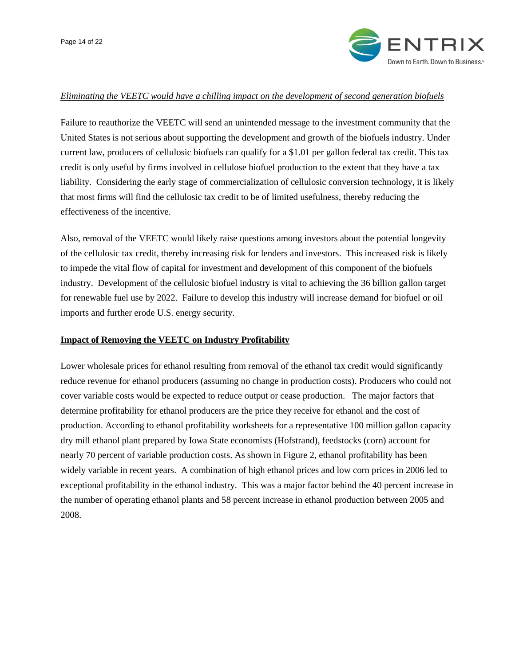

#### *Eliminating the VEETC would have a chilling impact on the development of second generation biofuels*

Failure to reauthorize the VEETC will send an unintended message to the investment community that the United States is not serious about supporting the development and growth of the biofuels industry. Under current law, producers of cellulosic biofuels can qualify for a \$1.01 per gallon federal tax credit. This tax credit is only useful by firms involved in cellulose biofuel production to the extent that they have a tax liability. Considering the early stage of commercialization of cellulosic conversion technology, it is likely that most firms will find the cellulosic tax credit to be of limited usefulness, thereby reducing the effectiveness of the incentive.

Also, removal of the VEETC would likely raise questions among investors about the potential longevity of the cellulosic tax credit, thereby increasing risk for lenders and investors. This increased risk is likely to impede the vital flow of capital for investment and development of this component of the biofuels industry. Development of the cellulosic biofuel industry is vital to achieving the 36 billion gallon target for renewable fuel use by 2022. Failure to develop this industry will increase demand for biofuel or oil imports and further erode U.S. energy security.

#### **Impact of Removing the VEETC on Industry Profitability**

Lower wholesale prices for ethanol resulting from removal of the ethanol tax credit would significantly reduce revenue for ethanol producers (assuming no change in production costs). Producers who could not cover variable costs would be expected to reduce output or cease production. The major factors that determine profitability for ethanol producers are the price they receive for ethanol and the cost of production. According to ethanol profitability worksheets for a representative 100 million gallon capacity dry mill ethanol plant prepared by Iowa State economists (Hofstrand), feedstocks (corn) account for nearly 70 percent of variable production costs. As shown in Figure 2, ethanol profitability has been widely variable in recent years. A combination of high ethanol prices and low corn prices in 2006 led to exceptional profitability in the ethanol industry. This was a major factor behind the 40 percent increase in the number of operating ethanol plants and 58 percent increase in ethanol production between 2005 and 2008.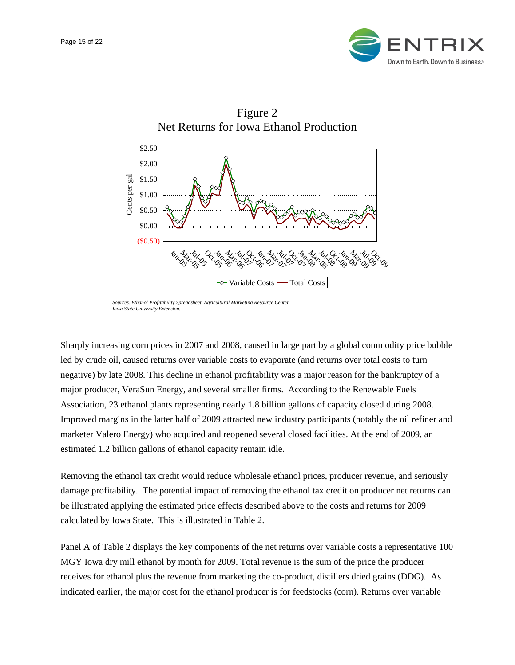



*Sources. Ethanol Profitability Spreadsheet. Agricultural Marketing Resource Center Iowa State University Extension.*

Sharply increasing corn prices in 2007 and 2008, caused in large part by a global commodity price bubble led by crude oil, caused returns over variable costs to evaporate (and returns over total costs to turn negative) by late 2008. This decline in ethanol profitability was a major reason for the bankruptcy of a major producer, VeraSun Energy, and several smaller firms. According to the Renewable Fuels Association, 23 ethanol plants representing nearly 1.8 billion gallons of capacity closed during 2008. Improved margins in the latter half of 2009 attracted new industry participants (notably the oil refiner and marketer Valero Energy) who acquired and reopened several closed facilities. At the end of 2009, an estimated 1.2 billion gallons of ethanol capacity remain idle.

Removing the ethanol tax credit would reduce wholesale ethanol prices, producer revenue, and seriously damage profitability. The potential impact of removing the ethanol tax credit on producer net returns can be illustrated applying the estimated price effects described above to the costs and returns for 2009 calculated by Iowa State. This is illustrated in Table 2.

Panel A of Table 2 displays the key components of the net returns over variable costs a representative 100 MGY Iowa dry mill ethanol by month for 2009. Total revenue is the sum of the price the producer receives for ethanol plus the revenue from marketing the co-product, distillers dried grains (DDG). As indicated earlier, the major cost for the ethanol producer is for feedstocks (corn). Returns over variable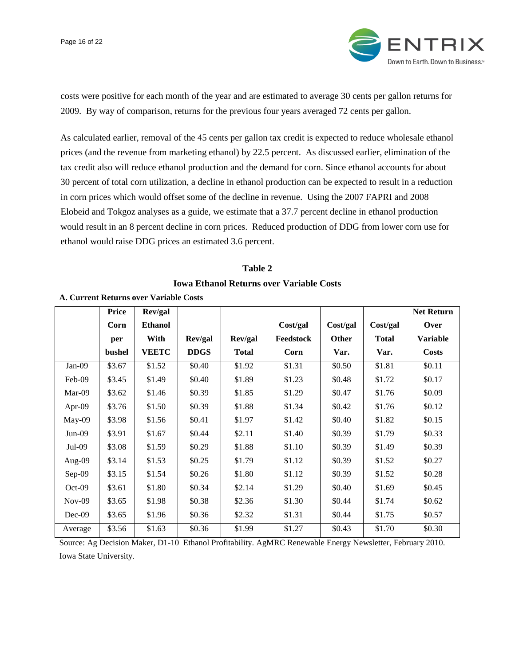

costs were positive for each month of the year and are estimated to average 30 cents per gallon returns for 2009. By way of comparison, returns for the previous four years averaged 72 cents per gallon.

As calculated earlier, removal of the 45 cents per gallon tax credit is expected to reduce wholesale ethanol prices (and the revenue from marketing ethanol) by 22.5 percent. As discussed earlier, elimination of the tax credit also will reduce ethanol production and the demand for corn. Since ethanol accounts for about 30 percent of total corn utilization, a decline in ethanol production can be expected to result in a reduction in corn prices which would offset some of the decline in revenue. Using the 2007 FAPRI and 2008 Elobeid and Tokgoz analyses as a guide, we estimate that a 37.7 percent decline in ethanol production would result in an 8 percent decline in corn prices. Reduced production of DDG from lower corn use for ethanol would raise DDG prices an estimated 3.6 percent.

# **Table 2**

#### **Iowa Ethanol Returns over Variable Costs**

|          | <b>Price</b> | Rev/gal        |             |              |           |          |              | <b>Net Return</b> |
|----------|--------------|----------------|-------------|--------------|-----------|----------|--------------|-------------------|
|          | Corn         | <b>Ethanol</b> |             |              | Cost/gal  | Cost/gal | Cost/gal     | Over              |
|          | per          | With           | Rev/gal     | Rev/gal      | Feedstock | Other    | <b>Total</b> | <b>Variable</b>   |
|          | bushel       | <b>VEETC</b>   | <b>DDGS</b> | <b>Total</b> | Corn      | Var.     | Var.         | <b>Costs</b>      |
| Jan-09   | \$3.67       | \$1.52         | \$0.40      | \$1.92       | \$1.31    | \$0.50   | \$1.81       | \$0.11            |
| Feb-09   | \$3.45       | \$1.49         | \$0.40      | \$1.89       | \$1.23    | \$0.48   | \$1.72       | \$0.17            |
| Mar-09   | \$3.62       | \$1.46         | \$0.39      | \$1.85       | \$1.29    | \$0.47   | \$1.76       | \$0.09            |
| Apr-09   | \$3.76       | \$1.50         | \$0.39      | \$1.88       | \$1.34    | \$0.42   | \$1.76       | \$0.12            |
| May-09   | \$3.98       | \$1.56         | \$0.41      | \$1.97       | \$1.42    | \$0.40   | \$1.82       | \$0.15            |
| $Jun-09$ | \$3.91       | \$1.67         | \$0.44      | \$2.11       | \$1.40    | \$0.39   | \$1.79       | \$0.33            |
| $Jul-09$ | \$3.08       | \$1.59         | \$0.29      | \$1.88       | \$1.10    | \$0.39   | \$1.49       | \$0.39            |
| Aug-09   | \$3.14       | \$1.53         | \$0.25      | \$1.79       | \$1.12    | \$0.39   | \$1.52       | \$0.27            |
| Sep-09   | \$3.15       | \$1.54         | \$0.26      | \$1.80       | \$1.12    | \$0.39   | \$1.52       | \$0.28            |
| $Oct-09$ | \$3.61       | \$1.80         | \$0.34      | \$2.14       | \$1.29    | \$0.40   | \$1.69       | \$0.45            |
| $Nov-09$ | \$3.65       | \$1.98         | \$0.38      | \$2.36       | \$1.30    | \$0.44   | \$1.74       | \$0.62            |
| $Dec-09$ | \$3.65       | \$1.96         | \$0.36      | \$2.32       | \$1.31    | \$0.44   | \$1.75       | \$0.57            |
| Average  | \$3.56       | \$1.63         | \$0.36      | \$1.99       | \$1.27    | \$0.43   | \$1.70       | \$0.30            |

#### **A. Current Returns over Variable Costs**

Source: Ag Decision Maker, D1-10 Ethanol Profitability. AgMRC Renewable Energy Newsletter, February 2010. Iowa State University.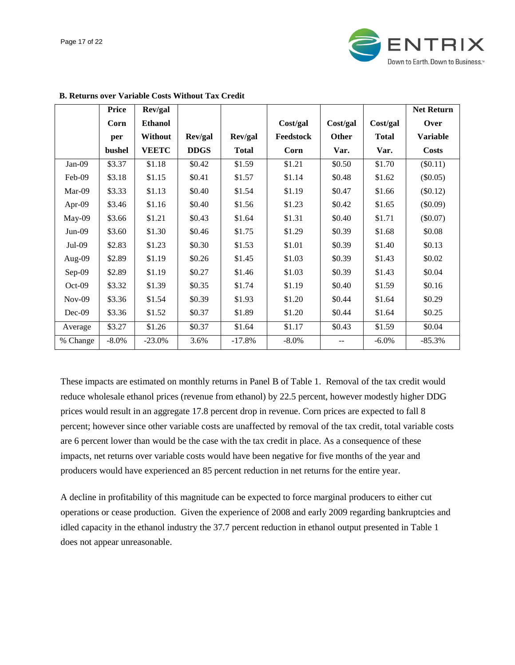

|          | <b>Price</b> | Rev/gal        |             |              |           |              |              | <b>Net Return</b> |
|----------|--------------|----------------|-------------|--------------|-----------|--------------|--------------|-------------------|
|          | Corn         | <b>Ethanol</b> |             |              | Cost/gal  | Cost/gal     | Cost/gal     | Over              |
|          | per          | <b>Without</b> | Rev/gal     | Rev/gal      | Feedstock | <b>Other</b> | <b>Total</b> | <b>Variable</b>   |
|          | bushel       | <b>VEETC</b>   | <b>DDGS</b> | <b>Total</b> | Corn      | Var.         | Var.         | <b>Costs</b>      |
| Jan-09   | \$3.37       | \$1.18         | \$0.42      | \$1.59       | \$1.21    | \$0.50       | \$1.70       | $(\$0.11)$        |
| Feb-09   | \$3.18       | \$1.15         | \$0.41      | \$1.57       | \$1.14    | \$0.48       | \$1.62       | $(\$0.05)$        |
| Mar-09   | \$3.33       | \$1.13         | \$0.40      | \$1.54       | \$1.19    | \$0.47       | \$1.66       | $(\$0.12)$        |
| Apr-09   | \$3.46       | \$1.16         | \$0.40      | \$1.56       | \$1.23    | \$0.42       | \$1.65       | $(\$0.09)$        |
| May-09   | \$3.66       | \$1.21         | \$0.43      | \$1.64       | \$1.31    | \$0.40       | \$1.71       | $(\$0.07)$        |
| $Jun-09$ | \$3.60       | \$1.30         | \$0.46      | \$1.75       | \$1.29    | \$0.39       | \$1.68       | \$0.08            |
| $Jul-09$ | \$2.83       | \$1.23         | \$0.30      | \$1.53       | \$1.01    | \$0.39       | \$1.40       | \$0.13            |
| Aug-09   | \$2.89       | \$1.19         | \$0.26      | \$1.45       | \$1.03    | \$0.39       | \$1.43       | \$0.02            |
| Sep-09   | \$2.89       | \$1.19         | \$0.27      | \$1.46       | \$1.03    | \$0.39       | \$1.43       | \$0.04            |
| $Oct-09$ | \$3.32       | \$1.39         | \$0.35      | \$1.74       | \$1.19    | \$0.40       | \$1.59       | \$0.16            |
| $Nov-09$ | \$3.36       | \$1.54         | \$0.39      | \$1.93       | \$1.20    | \$0.44       | \$1.64       | \$0.29            |
| $Dec-09$ | \$3.36       | \$1.52         | \$0.37      | \$1.89       | \$1.20    | \$0.44       | \$1.64       | \$0.25            |
| Average  | \$3.27       | \$1.26         | \$0.37      | \$1.64       | \$1.17    | \$0.43       | \$1.59       | \$0.04            |
| % Change | $-8.0\%$     | $-23.0\%$      | 3.6%        | $-17.8%$     | $-8.0\%$  |              | $-6.0\%$     | $-85.3%$          |

#### **B. Returns over Variable Costs Without Tax Credit**

These impacts are estimated on monthly returns in Panel B of Table 1. Removal of the tax credit would reduce wholesale ethanol prices (revenue from ethanol) by 22.5 percent, however modestly higher DDG prices would result in an aggregate 17.8 percent drop in revenue. Corn prices are expected to fall 8 percent; however since other variable costs are unaffected by removal of the tax credit, total variable costs are 6 percent lower than would be the case with the tax credit in place. As a consequence of these impacts, net returns over variable costs would have been negative for five months of the year and producers would have experienced an 85 percent reduction in net returns for the entire year.

A decline in profitability of this magnitude can be expected to force marginal producers to either cut operations or cease production. Given the experience of 2008 and early 2009 regarding bankruptcies and idled capacity in the ethanol industry the 37.7 percent reduction in ethanol output presented in Table 1 does not appear unreasonable.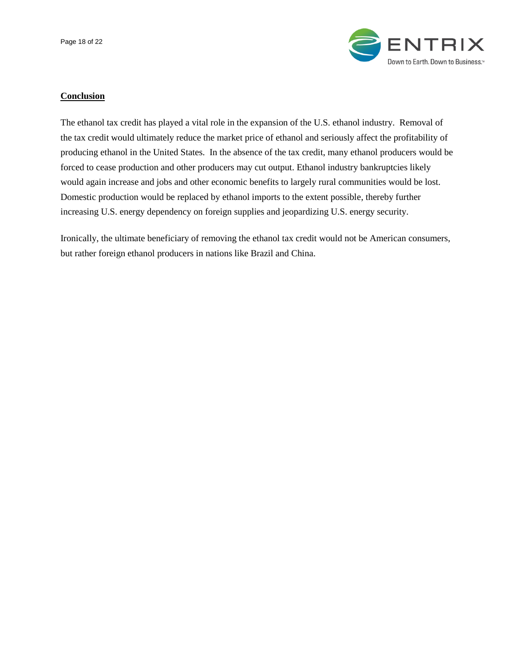

# **Conclusion**

The ethanol tax credit has played a vital role in the expansion of the U.S. ethanol industry. Removal of the tax credit would ultimately reduce the market price of ethanol and seriously affect the profitability of producing ethanol in the United States. In the absence of the tax credit, many ethanol producers would be forced to cease production and other producers may cut output. Ethanol industry bankruptcies likely would again increase and jobs and other economic benefits to largely rural communities would be lost. Domestic production would be replaced by ethanol imports to the extent possible, thereby further increasing U.S. energy dependency on foreign supplies and jeopardizing U.S. energy security.

Ironically, the ultimate beneficiary of removing the ethanol tax credit would not be American consumers, but rather foreign ethanol producers in nations like Brazil and China.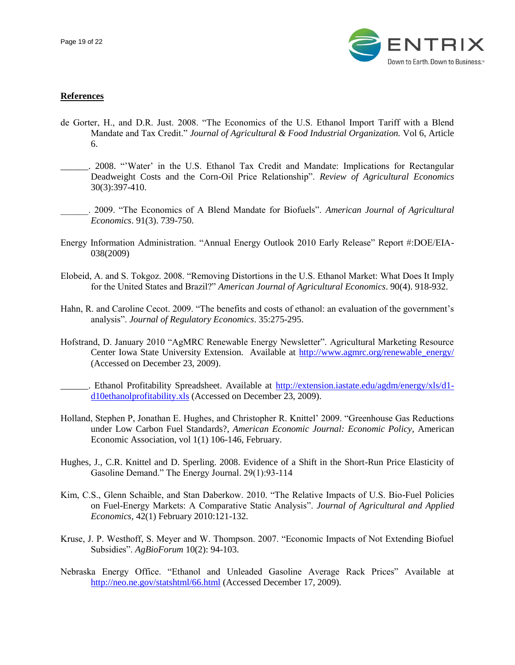

## **References**

- de Gorter, H., and D.R. Just. 2008. "The Economics of the U.S. Ethanol Import Tariff with a Blend Mandate and Tax Credit." *Journal of Agricultural & Food Industrial Organization.* Vol 6, Article 6.
- \_\_\_\_\_\_. 2008. ""Water" in the U.S. Ethanol Tax Credit and Mandate: Implications for Rectangular Deadweight Costs and the Corn-Oil Price Relationship". *Review of Agricultural Economics* 30(3):397-410.
- \_\_\_\_\_\_. 2009. "The Economics of A Blend Mandate for Biofuels". *American Journal of Agricultural Economics*. 91(3). 739-750.
- Energy Information Administration. "Annual Energy Outlook 2010 Early Release" Report #:DOE/EIA-038(2009)
- Elobeid, A. and S. Tokgoz. 2008. "Removing Distortions in the U.S. Ethanol Market: What Does It Imply for the United States and Brazil?" *American Journal of Agricultural Economics*. 90(4). 918-932.
- Hahn, R. and Caroline Cecot. 2009. "The benefits and costs of ethanol: an evaluation of the government"s analysis". *Journal of Regulatory Economics*. 35:275-295.
- Hofstrand, D. January 2010 "AgMRC Renewable Energy Newsletter". Agricultural Marketing Resource Center Iowa State University Extension. Available at [http://www.agmrc.org/renewable\\_energy/](http://www.agmrc.org/renewable_energy/) (Accessed on December 23, 2009).
	- \_\_\_\_\_\_. Ethanol Profitability Spreadsheet. Available at [http://extension.iastate.edu/agdm/energy/xls/d1](http://extension.iastate.edu/agdm/energy/xls/d1-d10ethanolprofitability.xls) [d10ethanolprofitability.xls](http://extension.iastate.edu/agdm/energy/xls/d1-d10ethanolprofitability.xls) (Accessed on December 23, 2009).
- Holland, Stephen P, Jonathan E. Hughes, and Christopher R. Knittel" 2009. "Greenhouse Gas Reductions under Low Carbon Fuel Standards?, *American Economic Journal: Economic Policy*, American Economic Association, vol 1(1) 106-146, February.
- Hughes, J., C.R. Knittel and D. Sperling. 2008. Evidence of a Shift in the Short-Run Price Elasticity of Gasoline Demand." The Energy Journal. 29(1):93-114
- Kim, C.S., Glenn Schaible, and Stan Daberkow. 2010. "The Relative Impacts of U.S. Bio-Fuel Policies on Fuel-Energy Markets: A Comparative Static Analysis". *Journal of Agricultural and Applied Economics*, 42(1) February 2010:121-132.
- Kruse, J. P. Westhoff, S. Meyer and W. Thompson. 2007. "Economic Impacts of Not Extending Biofuel Subsidies". *AgBioForum* 10(2): 94-103.
- Nebraska Energy Office. "Ethanol and Unleaded Gasoline Average Rack Prices" Available at <http://neo.ne.gov/statshtml/66.html> (Accessed December 17, 2009).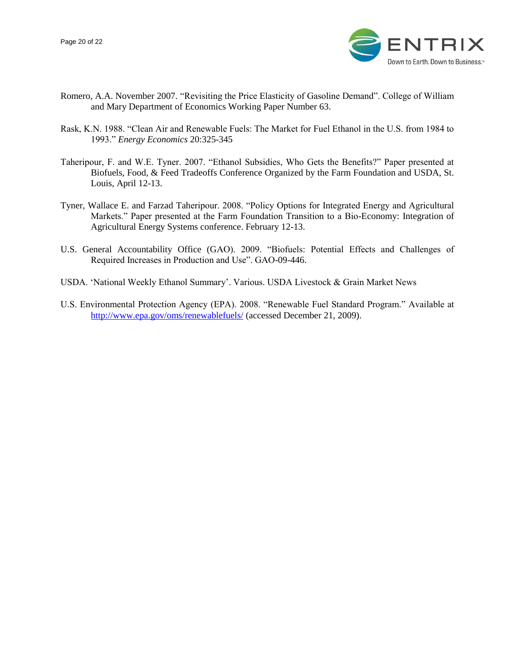

- Romero, A.A. November 2007. "Revisiting the Price Elasticity of Gasoline Demand". College of William and Mary Department of Economics Working Paper Number 63.
- Rask, K.N. 1988. "Clean Air and Renewable Fuels: The Market for Fuel Ethanol in the U.S. from 1984 to 1993." *Energy Economics* 20:325-345
- Taheripour, F. and W.E. Tyner. 2007. "Ethanol Subsidies, Who Gets the Benefits?" Paper presented at Biofuels, Food, & Feed Tradeoffs Conference Organized by the Farm Foundation and USDA, St. Louis, April 12-13.
- Tyner, Wallace E. and Farzad Taheripour. 2008. "Policy Options for Integrated Energy and Agricultural Markets." Paper presented at the Farm Foundation Transition to a Bio-Economy: Integration of Agricultural Energy Systems conference. February 12-13.
- U.S. General Accountability Office (GAO). 2009. "Biofuels: Potential Effects and Challenges of Required Increases in Production and Use". GAO-09-446.
- USDA. "National Weekly Ethanol Summary". Various. USDA Livestock & Grain Market News
- U.S. Environmental Protection Agency (EPA). 2008. "Renewable Fuel Standard Program." Available at <http://www.epa.gov/oms/renewablefuels/> (accessed December 21, 2009).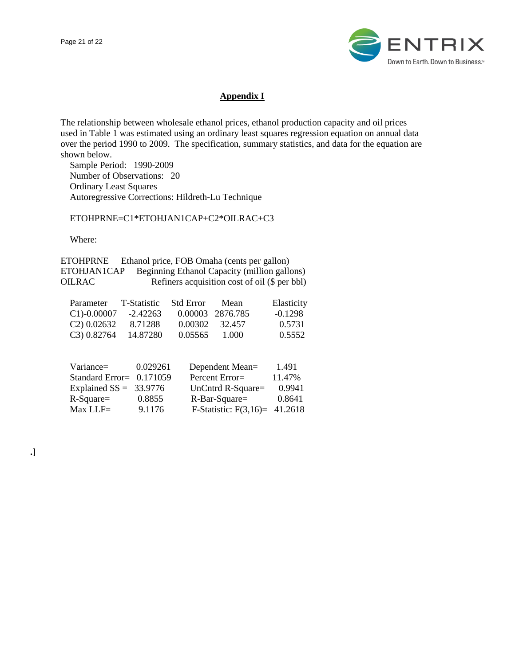

# **Appendix I**

The relationship between wholesale ethanol prices, ethanol production capacity and oil prices used in Table 1 was estimated using an ordinary least squares regression equation on annual data over the period 1990 to 2009. The specification, summary statistics, and data for the equation are shown below.

 Sample Period: 1990-2009 Number of Observations: 20 Ordinary Least Squares Autoregressive Corrections: Hildreth-Lu Technique

ETOHPRNE=C1\*ETOHJAN1CAP+C2\*OILRAC+C3

Where:

| <b>ETOHPRNE</b> | Ethanol price, FOB Omaha (cents per gallon)     |
|-----------------|-------------------------------------------------|
| ETOHJAN1CAP     | Beginning Ethanol Capacity (million gallons)    |
| <b>OILRAC</b>   | Refiners acquisition cost of oil $(\$$ per bbl) |

| Parameter      | T-Statistic | <b>Std Error</b> | Mean             | Elasticity |
|----------------|-------------|------------------|------------------|------------|
| $C1$ -0.00007  | -2.42263    |                  | 0.00003 2876.785 | $-0.1298$  |
| $C2$ ) 0.02632 | 8.71288     |                  | 0.00302 32.457   | 0.5731     |
| C3) 0.82764    | 14.87280    | 0.05565          | 1.000            | 0.5552     |

| 0.029261                 | Dependent Mean=   | 1.491                           |
|--------------------------|-------------------|---------------------------------|
| Standard Error= 0.171059 | Percent Error=    | 11.47%                          |
| Explained $SS = 33.9776$ | UnCntrd R-Square= | 0.9941                          |
| 0.8855                   | R-Bar-Square=     | 0.8641                          |
| 9.1176                   |                   |                                 |
|                          |                   | F-Statistic: $F(3,16)= 41.2618$ |